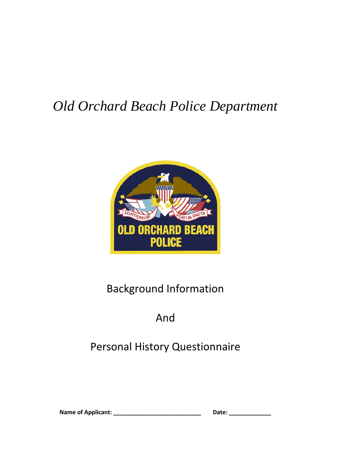## *Old Orchard Beach Police Department*



## Background Information

## And

## Personal History Questionnaire

| <b>Name of Applicant:</b> | Date: |
|---------------------------|-------|
|---------------------------|-------|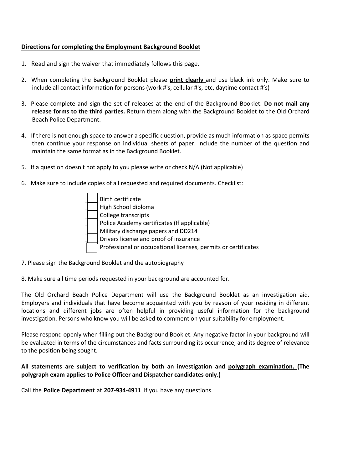## **Directions for completing the Employment Background Booklet**

- 1. Read and sign the waiver that immediately follows this page.
- 2. When completing the Background Booklet please **print clearly** and use black ink only. Make sure to include all contact information for persons (work #'s, cellular #'s, etc, daytime contact #'s)
- 3. Please complete and sign the set of releases at the end of the Background Booklet. **Do not mail any release forms to the third parties.** Return them along with the Background Booklet to the Old Orchard Beach Police Department.
- 4. If there is not enough space to answer a specific question, provide as much information as space permits then continue your response on individual sheets of paper. Include the number of the question and maintain the same format as in the Background Booklet.
- 5. If a question doesn't not apply to you please write or check N/A (Not applicable)
- 6. Make sure to include copies of all requested and required documents. Checklist:
	- \_\_\_\_ Birth certificate \_\_\_\_ High School diploma College transcripts Police Academy certificates (If applicable) Military discharge papers and DD214 Drivers license and proof of insurance Professional or occupational licenses, permits or certificates
- 7. Please sign the Background Booklet and the autobiography
- 8. Make sure all time periods requested in your background are accounted for.

The Old Orchard Beach Police Department will use the Background Booklet as an investigation aid. Employers and individuals that have become acquainted with you by reason of your residing in different locations and different jobs are often helpful in providing useful information for the background investigation. Persons who know you will be asked to comment on your suitability for employment.

Please respond openly when filling out the Background Booklet. Any negative factor in your background will be evaluated in terms of the circumstances and facts surrounding its occurrence, and its degree of relevance to the position being sought.

## **All statements are subject to verification by both an investigation and polygraph examination. (The polygraph exam applies to Police Officer and Dispatcher candidates only.)**

Call the **Police Department** at **207-934-4911** if you have any questions.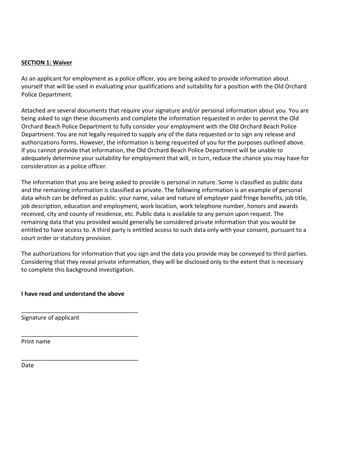## **SECTION 1: Waiver**

As an applicant for employment as a police officer, you are being asked to provide information about yourself that will be used in evaluating your qualifications and suitability for a position with the Old Orchard Police Department.

Attached are several documents that require your signature and/or personal information about you. You are being asked to sign these documents and complete the information requested in order to permit the Old Orchard Beach Police Department to fully consider your employment with the Old Orchard Beach Police Department. You are not legally required to supply any of the data requested or to sign any release and authorizations forms. However, the information is being requested of you for the purposes outlined above. If you cannot provide that information, the Old Orchard Beach Police Department will be unable to adequately determine your suitability for employment that will, in turn, reduce the chance you may have for consideration as a police officer.

The information that you are being asked to provide is personal in nature. Some is classified as public data and the remaining information is classified as private. The following information is an example of personal data which can be defined as public: your name, value and nature of employer paid fringe benefits, job title, job description, education and employment, work location, work telephone number, honors and awards received, city and county of residence, etc. Public data is available to any person upon request. The remaining data that you provided would generally be considered private information that you would be entitled to have access to. A third party is entitled access to such data only with your consent, pursuant to a court order or statutory provision.

The authorizations for information that you sign and the data you provide may be conveyed to third parties. Considering that they reveal private information, they will be disclosed only to the extent that is necessary to complete this background investigation.

**I have read and understand the above** 

\_\_\_\_\_\_\_\_\_\_\_\_\_\_\_\_\_\_\_\_\_\_\_\_\_\_\_\_\_\_\_\_\_\_\_\_

\_\_\_\_\_\_\_\_\_\_\_\_\_\_\_\_\_\_\_\_\_\_\_\_\_\_\_\_\_\_\_\_\_\_\_\_

\_\_\_\_\_\_\_\_\_\_\_\_\_\_\_\_\_\_\_\_\_\_\_\_\_\_\_\_\_\_\_\_\_\_\_\_

Signature of applicant

Print name

Date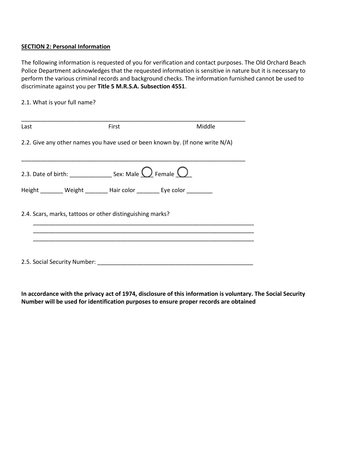## **SECTION 2: Personal Information**

The following information is requested of you for verification and contact purposes. The Old Orchard Beach Police Department acknowledges that the requested information is sensitive in nature but it is necessary to perform the various criminal records and background checks. The information furnished cannot be used to discriminate against you per **Title 5 M.R.S.A. Subsection 4551**.

## 2.1. What is your full name?

| Last                                                                    | First | Middle                                                                        |
|-------------------------------------------------------------------------|-------|-------------------------------------------------------------------------------|
|                                                                         |       | 2.2. Give any other names you have used or been known by. (If none write N/A) |
|                                                                         |       |                                                                               |
|                                                                         |       |                                                                               |
| Height ________ Weight ________ Hair color ________ Eye color _________ |       |                                                                               |
| 2.4. Scars, marks, tattoos or other distinguishing marks?               |       |                                                                               |
|                                                                         |       |                                                                               |
|                                                                         |       |                                                                               |
| 2.5. Social Security Number:                                            |       |                                                                               |

**In accordance with the privacy act of 1974, disclosure of this information is voluntary. The Social Security Number will be used for identification purposes to ensure proper records are obtained**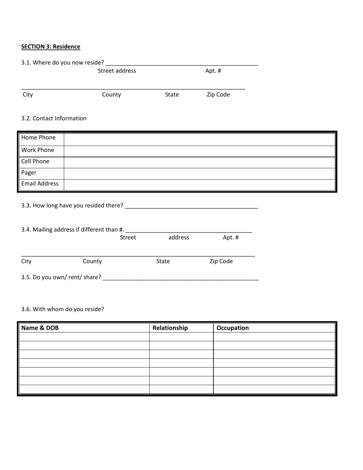## **SECTION 3: Residence**

| 3.1. Where do you now reside? |                         |       |          |  |
|-------------------------------|-------------------------|-------|----------|--|
|                               | Street address<br>Apt.# |       |          |  |
| City                          | County                  | State | Zip Code |  |

## 3.2. Contact Information

| Home Phone           |  |
|----------------------|--|
| Work Phone           |  |
| Cell Phone           |  |
| Pager                |  |
| <b>Email Address</b> |  |

## 3.3. How long have you resided there? \_\_\_\_\_\_\_\_\_\_\_\_\_\_\_\_\_\_\_\_\_\_\_\_\_\_\_\_\_\_\_\_\_\_\_\_\_\_\_\_\_

|      | 3.4. Mailing address if different than #. |               |         |          |
|------|-------------------------------------------|---------------|---------|----------|
|      |                                           | <b>Street</b> | address | Apt.#    |
| City | County                                    |               | State   | Zip Code |
|      | 3.5. Do you own/rent/share?               |               |         |          |

## 3.6. With whom do you reside?

| Name & DOB | Relationship | Occupation |
|------------|--------------|------------|
|            |              |            |
|            |              |            |
|            |              |            |
|            |              |            |
|            |              |            |
|            |              |            |
|            |              |            |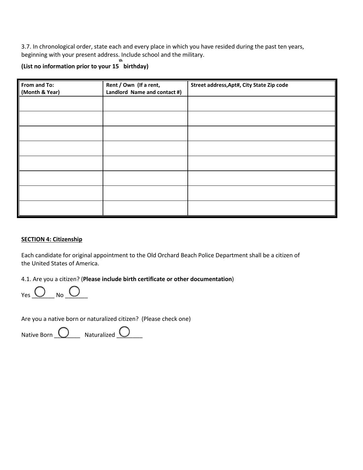3.7. In chronological order, state each and every place in which you have resided during the past ten years, beginning with your present address. Include school and the military.

#### **(List no information prior to your 15 birthday) th**

| From and To:   | Rent / Own (If a rent,       | Street address, Apt#, City State Zip code |
|----------------|------------------------------|-------------------------------------------|
| (Month & Year) | Landlord Name and contact #) |                                           |
|                |                              |                                           |
|                |                              |                                           |
|                |                              |                                           |
|                |                              |                                           |
|                |                              |                                           |
|                |                              |                                           |
|                |                              |                                           |
|                |                              |                                           |
|                |                              |                                           |
|                |                              |                                           |
|                |                              |                                           |
|                |                              |                                           |
|                |                              |                                           |
|                |                              |                                           |
|                |                              |                                           |

### **SECTION 4: Citizenship**

Each candidate for original appointment to the Old Orchard Beach Police Department shall be a citizen of the United States of America.

4.1. Are you a citizen? (**Please include birth certificate or other documentation**)

 $Yes$   $\overline{\bigcup_{No} \bigcup_{No}}$ 

Are you a native born or naturalized citizen? (Please check one)

Native Born  $\overline{\bigcirc}$  Naturalized  $\overline{\bigcirc}$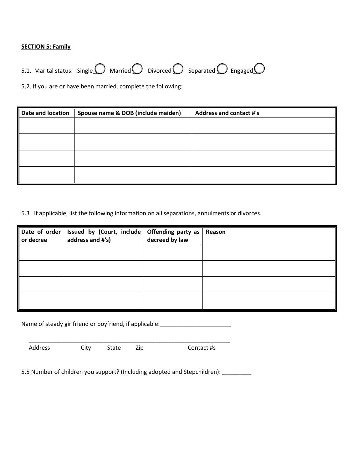## **SECTION 5: Family**



5.2. If you are or have been married, complete the following:

| Date and location | Spouse name & DOB (include maiden) | <b>Address and contact #'s</b> |
|-------------------|------------------------------------|--------------------------------|
|                   |                                    |                                |
|                   |                                    |                                |
|                   |                                    |                                |
|                   |                                    |                                |
|                   |                                    |                                |
|                   |                                    |                                |
|                   |                                    |                                |
|                   |                                    |                                |

5.3 If applicable, list the following information on all separations, annulments or divorces.

|           | Date of order   Issued by (Court, include   Offending party as |                | Reason |
|-----------|----------------------------------------------------------------|----------------|--------|
| or decree | address and #'s)                                               | decreed by law |        |
|           |                                                                |                |        |
|           |                                                                |                |        |
|           |                                                                |                |        |
|           |                                                                |                |        |
|           |                                                                |                |        |
|           |                                                                |                |        |
|           |                                                                |                |        |
|           |                                                                |                |        |

Name of steady girlfriend or boyfriend, if applicable: \_\_\_\_\_\_\_\_\_\_\_\_\_\_\_\_\_\_\_\_\_\_\_\_\_

\_\_\_\_\_\_\_\_\_\_\_\_\_\_\_\_\_\_\_\_\_\_\_\_\_\_\_\_\_\_\_\_\_\_\_\_\_\_\_\_\_\_\_\_\_\_\_\_\_\_\_\_\_\_\_\_\_\_\_\_\_\_

Address City State Zip Contact #s

5.5 Number of children you support? (Including adopted and Stepchildren): \_\_\_\_\_\_\_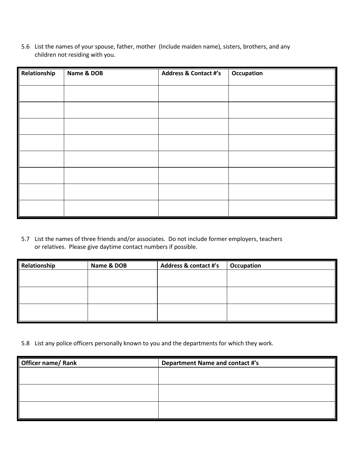5.6 List the names of your spouse, father, mother (Include maiden name), sisters, brothers, and any children not residing with you.

| Relationship | Name & DOB | <b>Address &amp; Contact #'s</b> | Occupation |
|--------------|------------|----------------------------------|------------|
|              |            |                                  |            |
|              |            |                                  |            |
|              |            |                                  |            |
|              |            |                                  |            |
|              |            |                                  |            |
|              |            |                                  |            |
|              |            |                                  |            |
|              |            |                                  |            |

5.7 List the names of three friends and/or associates. Do not include former employers, teachers or relatives. Please give daytime contact numbers if possible.

| Relationship | Name & DOB | Address & contact #'s | Occupation |
|--------------|------------|-----------------------|------------|
|              |            |                       |            |
|              |            |                       |            |
|              |            |                       |            |
|              |            |                       |            |
|              |            |                       |            |
|              |            |                       |            |

5.8 List any police officers personally known to you and the departments for which they work.

| <b>Officer name/ Rank</b> | <b>Department Name and contact #'s</b> |
|---------------------------|----------------------------------------|
|                           |                                        |
|                           |                                        |
|                           |                                        |
|                           |                                        |
|                           |                                        |
|                           |                                        |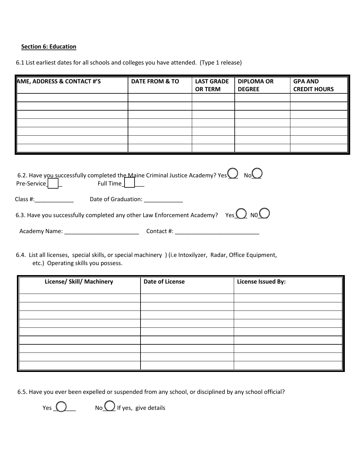## **Section 6: Education**

6.1 List earliest dates for all schools and colleges you have attended. (Type 1 release)

| AME, ADDRESS & CONTACT #'S | <b>DATE FROM &amp; TO</b> | <b>LAST GRADE</b> | <b>DIPLOMA OR</b> | <b>GPA AND</b>      |
|----------------------------|---------------------------|-------------------|-------------------|---------------------|
|                            |                           | <b>OR TERM</b>    | <b>DEGREE</b>     | <b>CREDIT HOURS</b> |
|                            |                           |                   |                   |                     |
|                            |                           |                   |                   |                     |
|                            |                           |                   |                   |                     |
|                            |                           |                   |                   |                     |
|                            |                           |                   |                   |                     |
|                            |                           |                   |                   |                     |
|                            |                           |                   |                   |                     |

| $Pre-Service$ | 6.2. Have you successfully completed the Maine Criminal Justice Academy? Yes $\bigcup_{N=1}^{\infty} N_N$<br>Full Time |
|---------------|------------------------------------------------------------------------------------------------------------------------|
| Class #:      | Date of Graduation:                                                                                                    |
|               | 6.3. Have you successfully completed any other Law Enforcement Academy? Yes $\bigcirc$ NO $\bigcirc$                   |
| Academy Name: | Contact #:                                                                                                             |

6.4. List all licenses, special skills, or special machinery ) (i.e Intoxilyzer, Radar, Office Equipment, etc.) Operating skills you possess.

| License/ Skill/ Machinery | <b>Date of License</b> | <b>License Issued By:</b> |
|---------------------------|------------------------|---------------------------|
|                           |                        |                           |
|                           |                        |                           |
|                           |                        |                           |
|                           |                        |                           |
|                           |                        |                           |
|                           |                        |                           |
|                           |                        |                           |
|                           |                        |                           |
|                           |                        |                           |
|                           |                        |                           |
|                           |                        |                           |

6.5. Have you ever been expelled or suspended from any school, or disciplined by any school official?

Yes  $\bigcirc$  No $\bigcirc$  If yes, give details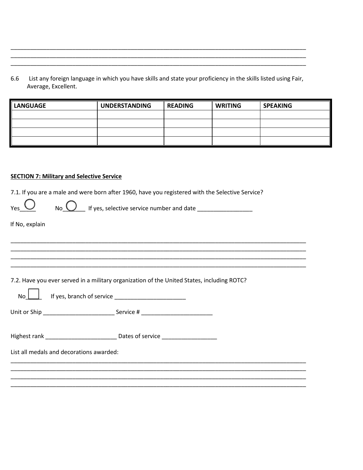List any foreign language in which you have skills and state your proficiency in the skills listed using Fair, 6.6 Average, Excellent.

| LANGUAGE | <b>UNDERSTANDING</b> | <b>READING</b> | <b>WRITING</b> | <b>SPEAKING</b> |
|----------|----------------------|----------------|----------------|-----------------|
|          |                      |                |                |                 |
|          |                      |                |                |                 |
|          |                      |                |                |                 |
|          |                      |                |                |                 |

### **SECTION 7: Military and Selective Service**

7.1. If you are a male and were born after 1960, have you registered with the Selective Service?

No  $\bigcirc$  If yes, selective service number and date \_\_\_\_\_\_\_\_\_\_\_\_\_\_\_\_\_\_\_\_\_\_\_\_\_\_\_\_\_

If No, explain

 $\overline{ }$  $\overline{\phantom{0}}$ 

 $Y_{\text{es}}$ 

7.2. Have you ever served in a military organization of the United States, including ROTC?

| No | If yes, branch of service |
|----|---------------------------|
|----|---------------------------|

| Highest rank | Dates of service |  |
|--------------|------------------|--|
|              |                  |  |

List all medals and decorations awarded: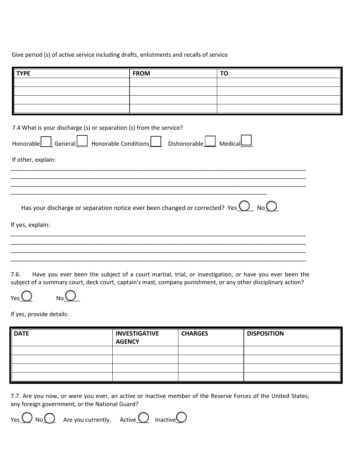## Give period (s) of active service including drafts, enlistments and recalls of service

| <b>TYPE</b>                                                                                                                              | <b>FROM</b> | <b>TO</b> |
|------------------------------------------------------------------------------------------------------------------------------------------|-------------|-----------|
|                                                                                                                                          |             |           |
|                                                                                                                                          |             |           |
|                                                                                                                                          |             |           |
|                                                                                                                                          |             |           |
| 7.4 What is your discharge (s) or separation (s) from the service?<br>Honorable General Honorable Conditions Dishonorable                |             | MedicalL  |
| If other, explain:                                                                                                                       |             |           |
|                                                                                                                                          |             |           |
|                                                                                                                                          |             |           |
|                                                                                                                                          |             |           |
| Has your discharge or separation notice ever been changed or corrected? Yes $\bigcup_{i=1}^{\infty} N_0$ No $\bigcup_{i=1}^{\infty} N_0$ |             |           |
| If yes, explain:                                                                                                                         |             |           |
|                                                                                                                                          |             |           |
|                                                                                                                                          |             |           |
|                                                                                                                                          |             |           |
|                                                                                                                                          |             |           |

7.6. Have you ever been the subject of a court martial, trial, or investigation, or have you ever been the subject of a summary court, deck court, captain's mast, company punishment, or any other disciplinary action?

If yes, provide details:

 $\gamma_{\text{es}}\bigcup_{\text{No}}\bigcup$ 

| <b>DATE</b> | <b>INVESTIGATIVE</b><br><b>AGENCY</b> | <b>CHARGES</b> | <b>DISPOSITION</b> |
|-------------|---------------------------------------|----------------|--------------------|
|             |                                       |                |                    |
|             |                                       |                |                    |
|             |                                       |                |                    |
|             |                                       |                |                    |

7.7. Are you now, or were you ever, an active or inactive member of the Reserve Forces of the United States, any foreign government, or the National Guard?

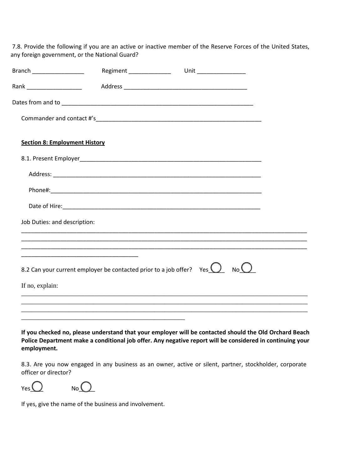7.8. Provide the following if you are an active or inactive member of the Reserve Forces of the United States, any foreign government, or the National Guard?

| Branch _____________________         | Regiment _______________                                                 | Unit _________________ |                    |  |
|--------------------------------------|--------------------------------------------------------------------------|------------------------|--------------------|--|
| Rank _____________________           |                                                                          |                        |                    |  |
|                                      |                                                                          |                        |                    |  |
|                                      |                                                                          |                        |                    |  |
| <b>Section 8: Employment History</b> |                                                                          |                        |                    |  |
|                                      |                                                                          |                        |                    |  |
|                                      |                                                                          |                        |                    |  |
|                                      |                                                                          |                        |                    |  |
|                                      |                                                                          |                        |                    |  |
| Job Duties: and description:         |                                                                          |                        |                    |  |
|                                      |                                                                          |                        |                    |  |
|                                      | 8.2 Can your current employer be contacted prior to a job offer? Yes $Q$ |                        | $_{\sf No}\bigcup$ |  |
| If no, explain:                      |                                                                          |                        |                    |  |
|                                      |                                                                          |                        |                    |  |
|                                      |                                                                          |                        |                    |  |

**If you checked no, please understand that your employer will be contacted should the Old Orchard Beach Police Department make a conditional job offer. Any negative report will be considered in continuing your employment.**

8.3. Are you now engaged in any business as an owner, active or silent, partner, stockholder, corporate officer or director?

 $Yes$  No  $\bigcirc$ 

If yes, give the name of the business and involvement.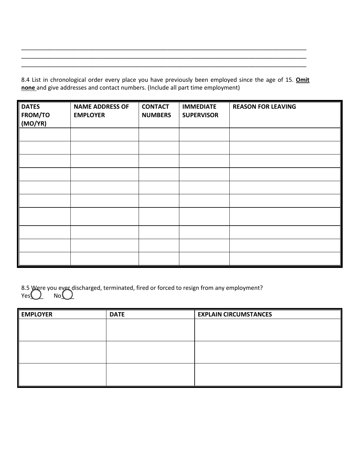8.4 List in chronological order every place you have previously been employed since the age of 15. **Omit none** and give addresses and contact numbers. (Include all part time employment)

\_\_\_\_\_\_\_\_\_\_\_\_\_\_\_\_\_\_\_\_\_\_\_\_\_\_\_\_\_\_\_\_\_\_\_\_\_\_\_\_\_\_\_\_\_\_\_\_\_\_\_\_\_\_\_\_\_\_\_\_\_\_\_\_\_\_\_\_\_\_\_\_\_\_\_\_\_\_\_\_\_\_\_\_ \_\_\_\_\_\_\_\_\_\_\_\_\_\_\_\_\_\_\_\_\_\_\_\_\_\_\_\_\_\_\_\_\_\_\_\_\_\_\_\_\_\_\_\_\_\_\_\_\_\_\_\_\_\_\_\_\_\_\_\_\_\_\_\_\_\_\_\_\_\_\_\_\_\_\_\_\_\_\_\_\_\_\_\_ \_\_\_\_\_\_\_\_\_\_\_\_\_\_\_\_\_\_\_\_\_\_\_\_\_\_\_\_\_\_\_\_\_\_\_\_\_\_\_\_\_\_\_\_\_\_\_\_\_\_\_\_\_\_\_\_\_\_\_\_\_\_\_\_\_\_\_\_\_\_\_\_\_\_\_\_\_\_\_\_\_\_\_\_

| <b>DATES</b><br>FROM/TO<br>(MO/YR) | <b>NAME ADDRESS OF</b><br><b>EMPLOYER</b> | <b>CONTACT</b><br><b>NUMBERS</b> | <b>IMMEDIATE</b><br><b>SUPERVISOR</b> | <b>REASON FOR LEAVING</b> |
|------------------------------------|-------------------------------------------|----------------------------------|---------------------------------------|---------------------------|
|                                    |                                           |                                  |                                       |                           |
|                                    |                                           |                                  |                                       |                           |
|                                    |                                           |                                  |                                       |                           |
|                                    |                                           |                                  |                                       |                           |
|                                    |                                           |                                  |                                       |                           |
|                                    |                                           |                                  |                                       |                           |
|                                    |                                           |                                  |                                       |                           |
|                                    |                                           |                                  |                                       |                           |
|                                    |                                           |                                  |                                       |                           |
|                                    |                                           |                                  |                                       |                           |

|  |  | 8.5 Were you ever discharged, terminated, fired or forced to resign from any employment?<br>Yes $\bigcirc$ No $\bigcirc$ |
|--|--|--------------------------------------------------------------------------------------------------------------------------|

| EMPLOYER | <b>DATE</b> | <b>EXPLAIN CIRCUMSTANCES</b> |
|----------|-------------|------------------------------|
|          |             |                              |
|          |             |                              |
|          |             |                              |
|          |             |                              |
|          |             |                              |
|          |             |                              |
|          |             |                              |
|          |             |                              |
|          |             |                              |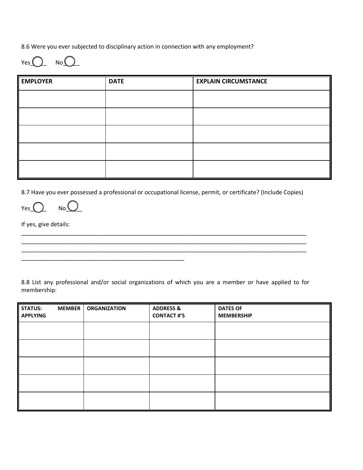8.6 Were you ever subjected to disciplinary action in connection with any employment?

 $Yes$   $No$   $No$   $\bigcup$ 

| <b>EMPLOYER</b> | <b>DATE</b> | <b>EXPLAIN CIRCUMSTANCE</b> |
|-----------------|-------------|-----------------------------|
|                 |             |                             |
|                 |             |                             |
|                 |             |                             |
|                 |             |                             |
|                 |             |                             |

8.7 Have you ever possessed a professional or occupational license, permit, or certificate? (Include Copies)

\_\_\_\_\_\_\_\_\_\_\_\_\_\_\_\_\_\_\_\_\_\_\_\_\_\_\_\_\_\_\_\_\_\_\_\_\_\_\_\_\_\_\_\_\_\_\_\_\_\_\_\_\_\_\_\_\_\_\_\_\_\_\_\_\_\_\_\_\_\_\_\_\_\_\_\_\_\_\_\_\_\_\_\_ \_\_\_\_\_\_\_\_\_\_\_\_\_\_\_\_\_\_\_\_\_\_\_\_\_\_\_\_\_\_\_\_\_\_\_\_\_\_\_\_\_\_\_\_\_\_\_\_\_\_\_\_\_\_\_\_\_\_\_\_\_\_\_\_\_\_\_\_\_\_\_\_\_\_\_\_\_\_\_\_\_\_\_\_

Yes  $\bigcup_{N \in \mathcal{N}} N$ 

\_\_\_\_\_\_\_\_\_\_\_\_\_\_\_\_\_\_\_\_\_\_\_\_\_\_\_\_\_\_\_\_\_\_\_\_\_\_\_\_\_\_\_\_\_\_\_\_

If yes, give details:

8.8 List any professional and/or social organizations of which you are a member or have applied to for membership:

| <b>STATUS:</b><br><b>APPLYING</b> | <b>MEMBER</b> | <b>ORGANIZATION</b> | <b>ADDRESS &amp;</b><br><b>CONTACT #'S</b> | <b>DATES OF</b><br><b>MEMBERSHIP</b> |
|-----------------------------------|---------------|---------------------|--------------------------------------------|--------------------------------------|
|                                   |               |                     |                                            |                                      |
|                                   |               |                     |                                            |                                      |
|                                   |               |                     |                                            |                                      |
|                                   |               |                     |                                            |                                      |
|                                   |               |                     |                                            |                                      |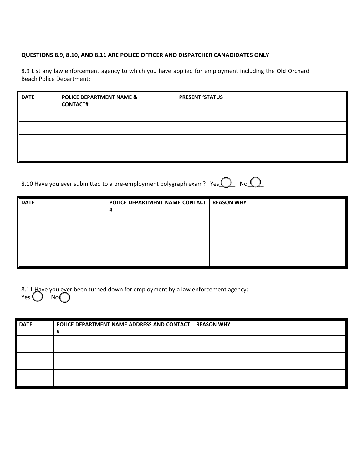## **QUESTIONS 8.9, 8.10, AND 8.11 ARE POLICE OFFICER AND DISPATCHER CANADIDATES ONLY**

8.9 List any law enforcement agency to which you have applied for employment including the Old Orchard Beach Police Department:

| <b>DATE</b> | <b>POLICE DEPARTMENT NAME &amp;</b><br><b>CONTACT#</b> | <b>PRESENT 'STATUS</b> |
|-------------|--------------------------------------------------------|------------------------|
|             |                                                        |                        |
|             |                                                        |                        |
|             |                                                        |                        |
|             |                                                        |                        |

| 8.10 Have you ever submitted to a pre-employment polygraph exam? Yes $\bigcirc$ No $\bigcirc$ |  |  |
|-----------------------------------------------------------------------------------------------|--|--|
|                                                                                               |  |  |

| <b>DATE</b> | POLICE DEPARTMENT NAME CONTACT   REASON WHY<br># |  |
|-------------|--------------------------------------------------|--|
|             |                                                  |  |
|             |                                                  |  |
|             |                                                  |  |

| 8.11 Have you ever been turned down for employment by a law enforcement agency: |
|---------------------------------------------------------------------------------|
| Yes() No()                                                                      |

| <b>DATE</b> | POLICE DEPARTMENT NAME ADDRESS AND CONTACT   REASON WHY<br>Ħ |  |
|-------------|--------------------------------------------------------------|--|
|             |                                                              |  |
|             |                                                              |  |
|             |                                                              |  |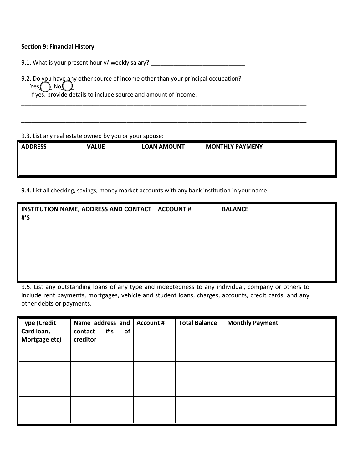### **Section 9: Financial History**

9.1. What is your present hourly/ weekly salary? \_\_\_\_\_\_\_\_\_\_\_\_\_\_\_\_\_\_\_\_\_\_\_\_\_\_\_\_\_\_\_

|                            | 9.2. Do you have any other source of income other than your principal occupation? |
|----------------------------|-----------------------------------------------------------------------------------|
| Yes $\bigcap$ No $\bigcup$ |                                                                                   |

If yes, provide details to include source and amount of income:

9.3. List any real estate owned by you or your spouse:

| <b>ADDRESS</b> | <b>VALUE</b> | <b>LOAN AMOUNT</b> | <b>MONTHLY PAYMENY</b> |  |
|----------------|--------------|--------------------|------------------------|--|
|                |              |                    |                        |  |
|                |              |                    |                        |  |
|                |              |                    |                        |  |
|                |              |                    |                        |  |
|                |              |                    |                        |  |
|                |              |                    |                        |  |

\_\_\_\_\_\_\_\_\_\_\_\_\_\_\_\_\_\_\_\_\_\_\_\_\_\_\_\_\_\_\_\_\_\_\_\_\_\_\_\_\_\_\_\_\_\_\_\_\_\_\_\_\_\_\_\_\_\_\_\_\_\_\_\_\_\_\_\_\_\_\_\_\_\_\_\_\_\_\_\_\_\_\_\_ \_\_\_\_\_\_\_\_\_\_\_\_\_\_\_\_\_\_\_\_\_\_\_\_\_\_\_\_\_\_\_\_\_\_\_\_\_\_\_\_\_\_\_\_\_\_\_\_\_\_\_\_\_\_\_\_\_\_\_\_\_\_\_\_\_\_\_\_\_\_\_\_\_\_\_\_\_\_\_\_\_\_\_\_ \_\_\_\_\_\_\_\_\_\_\_\_\_\_\_\_\_\_\_\_\_\_\_\_\_\_\_\_\_\_\_\_\_\_\_\_\_\_\_\_\_\_\_\_\_\_\_\_\_\_\_\_\_\_\_\_\_\_\_\_\_\_\_\_\_\_\_\_\_\_\_\_\_\_\_\_\_\_\_\_\_\_\_\_

9.4. List all checking, savings, money market accounts with any bank institution in your name:

| INSTITUTION NAME, ADDRESS AND CONTACT ACCOUNT #<br>$#^{\prime}S$ | <b>BALANCE</b> |
|------------------------------------------------------------------|----------------|
|                                                                  |                |

9.5. List any outstanding loans of any type and indebtedness to any individual, company or others to include rent payments, mortgages, vehicle and student loans, charges, accounts, credit cards, and any other debts or payments.

| <b>Type (Credit</b><br>Card loan,<br>Mortgage etc) | Name address and $ $ Account #<br>$#^{\prime}$ s<br>of<br>contact<br>creditor | <b>Total Balance</b> | <b>Monthly Payment</b> |
|----------------------------------------------------|-------------------------------------------------------------------------------|----------------------|------------------------|
|                                                    |                                                                               |                      |                        |
|                                                    |                                                                               |                      |                        |
|                                                    |                                                                               |                      |                        |
|                                                    |                                                                               |                      |                        |
|                                                    |                                                                               |                      |                        |
|                                                    |                                                                               |                      |                        |
|                                                    |                                                                               |                      |                        |
|                                                    |                                                                               |                      |                        |
|                                                    |                                                                               |                      |                        |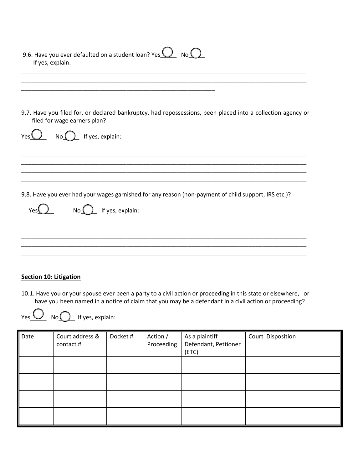| 9.6. Have you ever defaulted on a student loan? Yes $\bigcup$ No $\bigcirc$<br>If yes, explain:                                             |
|---------------------------------------------------------------------------------------------------------------------------------------------|
|                                                                                                                                             |
| 9.7. Have you filed for, or declared bankruptcy, had repossessions, been placed into a collection agency or<br>filed for wage earners plan? |
| $No$ $\left($ $\right)$ If yes, explain:<br>Yes <sup>1</sup>                                                                                |
|                                                                                                                                             |
| 9.8. Have you ever had your wages garnished for any reason (non-payment of child support, IRS etc.)?<br>If yes, explain:<br>No<br>Yes       |
|                                                                                                                                             |
|                                                                                                                                             |

## **Section 10: Litigation**

10.1. Have you or your spouse ever been a party to a civil action or proceeding in this state or elsewhere, or have you been named in a notice of claim that you may be a defendant in a civil action or proceeding?



 $Yes \t\cup$  No $\bigcirc$  If yes, explain:

| Date | Court address &<br>contact # | Docket # | Action /<br>Proceeding | As a plaintiff<br>Defendant, Pettioner<br>(ETC) | Court Disposition |
|------|------------------------------|----------|------------------------|-------------------------------------------------|-------------------|
|      |                              |          |                        |                                                 |                   |
|      |                              |          |                        |                                                 |                   |
|      |                              |          |                        |                                                 |                   |
|      |                              |          |                        |                                                 |                   |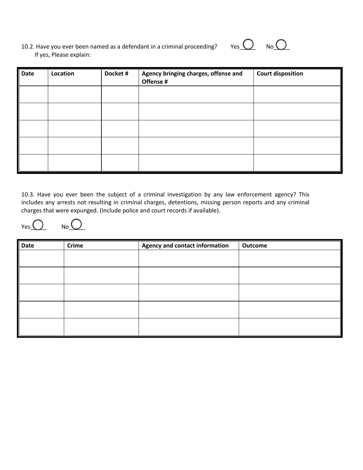| 10.2. Have you ever been named as a defendant in a criminal proceeding? |  |
|-------------------------------------------------------------------------|--|
| If yes, Please explain:                                                 |  |



| Date | Location | Docket # | Agency bringing charges, offense and<br>Offense # | <b>Court disposition</b> |
|------|----------|----------|---------------------------------------------------|--------------------------|
|      |          |          |                                                   |                          |
|      |          |          |                                                   |                          |
|      |          |          |                                                   |                          |
|      |          |          |                                                   |                          |
|      |          |          |                                                   |                          |

10.3. Have you ever been the subject of a criminal investigation by any law enforcement agency? This includes any arrests not resulting in criminal charges, detentions, missing person reports and any criminal charges that were expunged. (Include police and court records if available).

 $Yes$  No  $\bigcirc$ 

| Date | Crime | <b>Agency and contact information</b> | Outcome |
|------|-------|---------------------------------------|---------|
|      |       |                                       |         |
|      |       |                                       |         |
|      |       |                                       |         |
|      |       |                                       |         |
|      |       |                                       |         |
|      |       |                                       |         |
|      |       |                                       |         |
|      |       |                                       |         |
|      |       |                                       |         |
|      |       |                                       |         |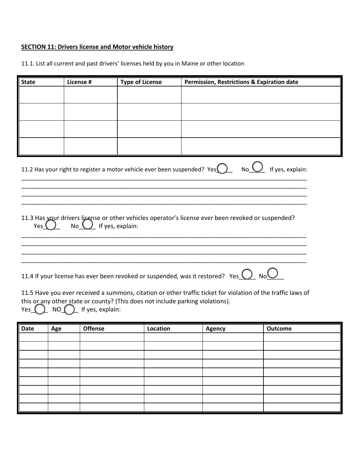## **SECTION 11: Drivers license and Motor vehicle history**

| <b>State</b>                                                                                                                     |     | License #        | <b>Type of License</b> |                                                                                | <b>Permission, Restrictions &amp; Expiration date</b>                                                        |                |  |  |
|----------------------------------------------------------------------------------------------------------------------------------|-----|------------------|------------------------|--------------------------------------------------------------------------------|--------------------------------------------------------------------------------------------------------------|----------------|--|--|
|                                                                                                                                  |     |                  |                        |                                                                                |                                                                                                              |                |  |  |
|                                                                                                                                  |     |                  |                        |                                                                                |                                                                                                              |                |  |  |
|                                                                                                                                  |     |                  |                        |                                                                                |                                                                                                              |                |  |  |
|                                                                                                                                  |     |                  |                        |                                                                                |                                                                                                              |                |  |  |
|                                                                                                                                  |     |                  |                        |                                                                                |                                                                                                              |                |  |  |
|                                                                                                                                  |     |                  |                        |                                                                                |                                                                                                              |                |  |  |
|                                                                                                                                  |     |                  |                        |                                                                                |                                                                                                              |                |  |  |
|                                                                                                                                  |     |                  |                        |                                                                                |                                                                                                              |                |  |  |
|                                                                                                                                  |     |                  |                        |                                                                                |                                                                                                              |                |  |  |
| No $\bigcup$ If yes, explain:<br>11.2 Has your right to register a motor vehicle ever been suspended? Yes $\left( \quad \right)$ |     |                  |                        |                                                                                |                                                                                                              |                |  |  |
|                                                                                                                                  |     |                  |                        |                                                                                |                                                                                                              |                |  |  |
|                                                                                                                                  |     |                  |                        |                                                                                |                                                                                                              |                |  |  |
|                                                                                                                                  |     |                  |                        |                                                                                |                                                                                                              |                |  |  |
| Yes I                                                                                                                            | No  |                  | If yes, explain:       |                                                                                | 11.3 Has your drivers license or other vehicles operator's license ever been revoked or suspended?           |                |  |  |
|                                                                                                                                  |     |                  |                        |                                                                                |                                                                                                              |                |  |  |
|                                                                                                                                  |     |                  |                        |                                                                                |                                                                                                              |                |  |  |
|                                                                                                                                  |     |                  |                        |                                                                                |                                                                                                              |                |  |  |
|                                                                                                                                  |     |                  |                        |                                                                                |                                                                                                              |                |  |  |
| 11.4 If your license has ever been revoked or suspended, was it restored? Yes $\bigcirc$ No $\bigcirc$                           |     |                  |                        |                                                                                |                                                                                                              |                |  |  |
|                                                                                                                                  |     |                  |                        |                                                                                | 11.5 Have you ever received a summons, citation or other traffic ticket for violation of the traffic laws of |                |  |  |
|                                                                                                                                  |     |                  |                        | this or any other state or county? (This does not include parking violations). |                                                                                                              |                |  |  |
|                                                                                                                                  | NO  |                  |                        |                                                                                |                                                                                                              |                |  |  |
| Yes                                                                                                                              |     | If yes, explain: |                        |                                                                                |                                                                                                              |                |  |  |
|                                                                                                                                  |     |                  |                        |                                                                                |                                                                                                              |                |  |  |
| <b>Date</b>                                                                                                                      | Age | <b>Offense</b>   |                        | Location                                                                       | <b>Agency</b>                                                                                                | <b>Outcome</b> |  |  |

11.1. List all current and past drivers' licenses held by you in Maine or other location

**Date Age Offense Location Agency Outcome**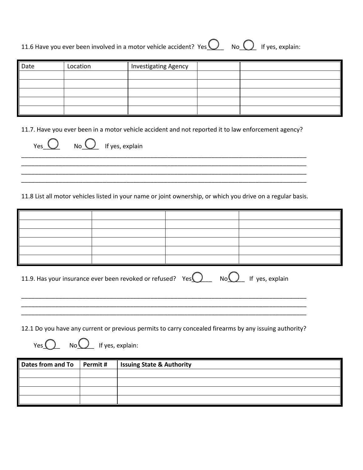| 11.6 Have you ever been involved in a motor vehicle accident? Yes $\bigcirc$ No $\bigcirc$ If yes, explain: |  |  |
|-------------------------------------------------------------------------------------------------------------|--|--|

| Date | Location | <b>Investigating Agency</b> |  |
|------|----------|-----------------------------|--|
|      |          |                             |  |
|      |          |                             |  |
|      |          |                             |  |
|      |          |                             |  |
|      |          |                             |  |

11.7. Have you ever been in a motor vehicle accident and not reported it to law enforcement agency?

\_\_\_\_\_\_\_\_\_\_\_\_\_\_\_\_\_\_\_\_\_\_\_\_\_\_\_\_\_\_\_\_\_\_\_\_\_\_\_\_\_\_\_\_\_\_\_\_\_\_\_\_\_\_\_\_\_\_\_\_\_\_\_\_\_\_\_\_\_\_\_\_\_\_\_\_\_\_\_\_\_\_\_\_ \_\_\_\_\_\_\_\_\_\_\_\_\_\_\_\_\_\_\_\_\_\_\_\_\_\_\_\_\_\_\_\_\_\_\_\_\_\_\_\_\_\_\_\_\_\_\_\_\_\_\_\_\_\_\_\_\_\_\_\_\_\_\_\_\_\_\_\_\_\_\_\_\_\_\_\_\_\_\_\_\_\_\_\_

| _________________ |
|-------------------|

11.8 List all motor vehicles listed in your name or joint ownership, or which you drive on a regular basis.

| 11.9. Has your insurance ever been revoked or refused? Yes $\bigcirc$ No $\bigcirc$ If yes, explain |  |  |  |  |  |  |  |
|-----------------------------------------------------------------------------------------------------|--|--|--|--|--|--|--|
|                                                                                                     |  |  |  |  |  |  |  |
|                                                                                                     |  |  |  |  |  |  |  |

12.1 Do you have any current or previous permits to carry concealed firearms by any issuing authority?

 $Yes$  No $\Omega$  If yes, explain:

 $Yes \t\cup \tNo \t\cup \tIf yes, explain$ 

| Dates from and To $\vert$ Permit # | <b>Issuing State &amp; Authority</b> |
|------------------------------------|--------------------------------------|
|                                    |                                      |
|                                    |                                      |
|                                    |                                      |
|                                    |                                      |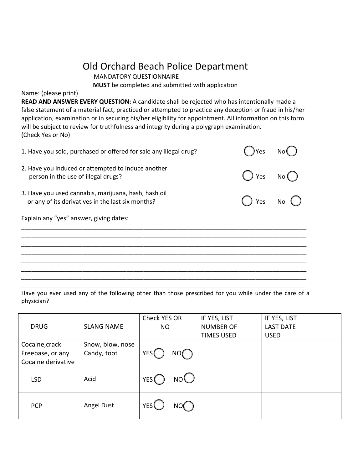# Old Orchard Beach Police Department<br>MANDATORY QUESTIONNAIRE

**MUST** be completed and submitted with application

Name: (please print)

**READ AND ANSWER EVERY QUESTION:** A candidate shall be rejected who has intentionally made a false statement of a material fact, practiced or attempted to practice any deception or fraud in his/her application, examination or in securing his/her eligibility for appointment. All information on this form will be subject to review for truthfulness and integrity during a polygraph examination. (Check Yes or No)

| 1. Have you sold, purchased or offered for sale any illegal drug?                                         | Yes |        |
|-----------------------------------------------------------------------------------------------------------|-----|--------|
| 2. Have you induced or attempted to induce another<br>person in the use of illegal drugs?                 | Yes | No (   |
| 3. Have you used cannabis, marijuana, hash, hash oil<br>or any of its derivatives in the last six months? |     | Yes No |
| Explain any "yes" answer, giving dates:                                                                   |     |        |
|                                                                                                           |     |        |
|                                                                                                           |     |        |
|                                                                                                           |     |        |
|                                                                                                           |     |        |
|                                                                                                           |     |        |
|                                                                                                           |     |        |

Have you ever used any of the following other than those prescribed for you while under the care of a physician?

| <b>DRUG</b>                                              | <b>SLANG NAME</b>               | Check YES OR<br><b>NO</b> |     | IF YES, LIST<br><b>NUMBER OF</b><br><b>TIMES USED</b> | IF YES, LIST<br><b>LAST DATE</b><br><b>USED</b> |
|----------------------------------------------------------|---------------------------------|---------------------------|-----|-------------------------------------------------------|-------------------------------------------------|
| Cocaine, crack<br>Freebase, or any<br>Cocaine derivative | Snow, blow, nose<br>Candy, toot | YES <sub>I</sub>          | NO( |                                                       |                                                 |
| <b>LSD</b>                                               | Acid                            | YES (                     | NO  |                                                       |                                                 |
| <b>PCP</b>                                               | Angel Dust                      | <b>YES</b>                | NO( |                                                       |                                                 |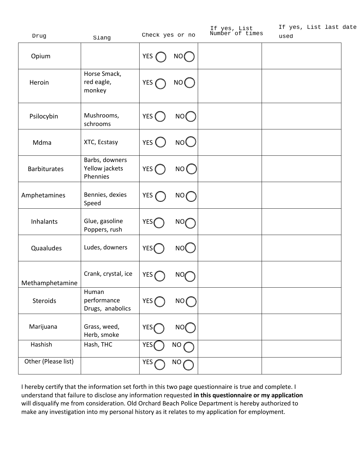| Drug                | Slang                                        |                  | Check yes or no | If yes, List<br>Number of times | If yes, List last date<br>used |  |
|---------------------|----------------------------------------------|------------------|-----------------|---------------------------------|--------------------------------|--|
| Opium               |                                              | YES (            | NO (            |                                 |                                |  |
| Heroin              | Horse Smack,<br>red eagle,<br>monkey         | YES <sub>(</sub> | NO (            |                                 |                                |  |
| Psilocybin          | Mushrooms,<br>schrooms                       | YES (            | NO <sub>(</sub> |                                 |                                |  |
| Mdma                | XTC, Ecstasy                                 | YES <sup>(</sup> | NO(             |                                 |                                |  |
| <b>Barbiturates</b> | Barbs, downers<br>Yellow jackets<br>Phennies | YES (            | NO (            |                                 |                                |  |
| Amphetamines        | Bennies, dexies<br>Speed                     | YES (            | NO(             |                                 |                                |  |
| Inhalants           | Glue, gasoline<br>Poppers, rush              | YES(             | NO              |                                 |                                |  |
| Quaaludes           | Ludes, downers                               | YES(             | NO <sub>(</sub> |                                 |                                |  |
| Methamphetamine     | Crank, crystal, ice                          | YES <sub>(</sub> | NO.             |                                 |                                |  |
| Steroids            | Human<br>performance<br>Drugs, anabolics     | YES <sup>(</sup> | NO(             |                                 |                                |  |
| Marijuana           | Grass, weed,<br>Herb, smoke                  | YES <sub>(</sub> | NO <sub>(</sub> |                                 |                                |  |
| Hashish             | Hash, THC                                    | <b>YES</b>       | NO              |                                 |                                |  |
| Other (Please list) |                                              | YES <sub>0</sub> | NO <sub>1</sub> |                                 |                                |  |

I hereby certify that the information set forth in this two page questionnaire is true and complete. I understand that failure to disclose any information requested **in this questionnaire or my application**  will disqualify me from consideration. Old Orchard Beach Police Department is hereby authorized to make any investigation into my personal history as it relates to my application for employment.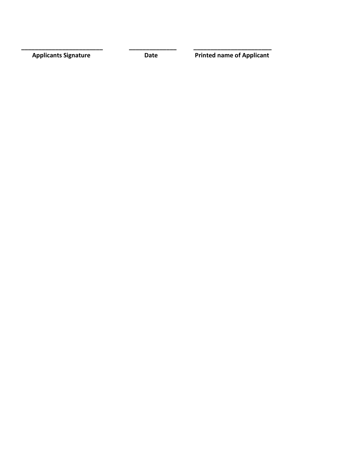**\_\_\_\_\_\_\_\_\_\_\_\_\_\_\_\_\_\_\_\_\_\_\_\_ \_\_\_\_\_\_\_\_\_\_\_\_\_\_ \_\_\_\_\_\_\_\_\_\_\_\_\_\_\_\_\_\_\_\_\_\_\_**

**Applicants Signature Date Date Printed name of Applicant**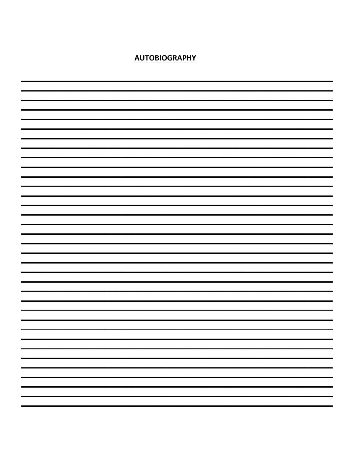**AUTOBIOGRAPHY**